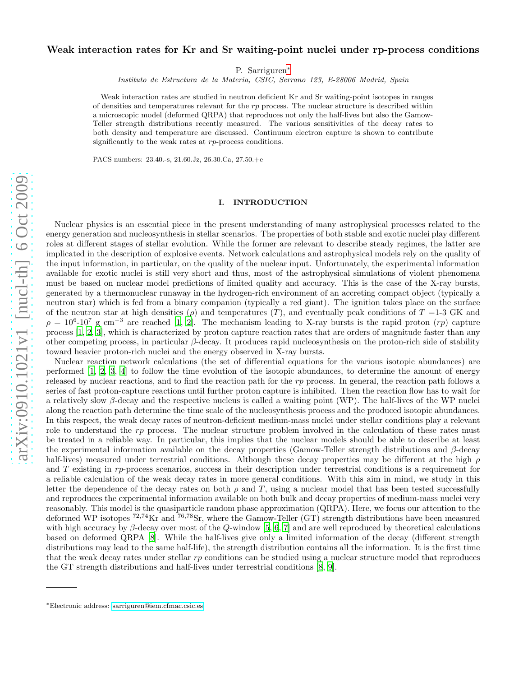# arXiv:0910.1021v1 [nucl-th] 6 Oct 2009 [arXiv:0910.1021v1 \[nucl-th\] 6 Oct 2009](http://arxiv.org/abs/0910.1021v1)

# Weak interaction rates for Kr and Sr waiting-point nuclei under rp-process conditions

P. Sarriguren[∗](#page-0-0)

Instituto de Estructura de la Materia, CSIC, Serrano 123, E-28006 Madrid, Spain

Weak interaction rates are studied in neutron deficient Kr and Sr waiting-point isotopes in ranges of densities and temperatures relevant for the  $rp$  process. The nuclear structure is described within a microscopic model (deformed QRPA) that reproduces not only the half-lives but also the Gamow-Teller strength distributions recently measured. The various sensitivities of the decay rates to both density and temperature are discussed. Continuum electron capture is shown to contribute significantly to the weak rates at rp-process conditions.

PACS numbers: 23.40.-s, 21.60.Jz, 26.30.Ca, 27.50.+e

# I. INTRODUCTION

Nuclear physics is an essential piece in the present understanding of many astrophysical processes related to the energy generation and nucleosynthesis in stellar scenarios. The properties of both stable and exotic nuclei play different roles at different stages of stellar evolution. While the former are relevant to describe steady regimes, the latter are implicated in the description of explosive events. Network calculations and astrophysical models rely on the quality of the input information, in particular, on the quality of the nuclear input. Unfortunately, the experimental information available for exotic nuclei is still very short and thus, most of the astrophysical simulations of violent phenomena must be based on nuclear model predictions of limited quality and accuracy. This is the case of the X-ray bursts, generated by a thermonuclear runaway in the hydrogen-rich environment of an accreting compact object (typically a neutron star) which is fed from a binary companion (typically a red giant). The ignition takes place on the surface of the neutron star at high densities ( $\rho$ ) and temperatures (T), and eventually peak conditions of T =1-3 GK and  $\rho = 10^6$ -10<sup>7</sup> g cm<sup>-3</sup> are reached [\[1,](#page-6-0) [2\]](#page-6-1). The mechanism leading to X-ray bursts is the rapid proton (rp) capture process [\[1](#page-6-0), [2](#page-6-1), [3](#page-6-2)], which is characterized by proton capture reaction rates that are orders of magnitude faster than any other competing process, in particular  $\beta$ -decay. It produces rapid nucleosynthesis on the proton-rich side of stability toward heavier proton-rich nuclei and the energy observed in X-ray bursts.

Nuclear reaction network calculations (the set of differential equations for the various isotopic abundances) are performed  $[1, 2, 3, 4]$  $[1, 2, 3, 4]$  $[1, 2, 3, 4]$  $[1, 2, 3, 4]$  $[1, 2, 3, 4]$  $[1, 2, 3, 4]$  $[1, 2, 3, 4]$  to follow the time evolution of the isotopic abundances, to determine the amount of energy released by nuclear reactions, and to find the reaction path for the  $rp$  process. In general, the reaction path follows a series of fast proton-capture reactions until further proton capture is inhibited. Then the reaction flow has to wait for a relatively slow β-decay and the respective nucleus is called a waiting point (WP). The half-lives of the WP nuclei along the reaction path determine the time scale of the nucleosynthesis process and the produced isotopic abundances. In this respect, the weak decay rates of neutron-deficient medium-mass nuclei under stellar conditions play a relevant role to understand the  $rp$  process. The nuclear structure problem involved in the calculation of these rates must be treated in a reliable way. In particular, this implies that the nuclear models should be able to describe at least the experimental information available on the decay properties (Gamow-Teller strength distributions and  $\beta$ -decay half-lives) measured under terrestrial conditions. Although these decay properties may be different at the high  $\rho$ and  $T$  existing in rp-process scenarios, success in their description under terrestrial conditions is a requirement for a reliable calculation of the weak decay rates in more general conditions. With this aim in mind, we study in this letter the dependence of the decay rates on both  $\rho$  and T, using a nuclear model that has been tested successfully and reproduces the experimental information available on both bulk and decay properties of medium-mass nuclei very reasonably. This model is the quasiparticle random phase approximation (QRPA). Here, we focus our attention to the deformed WP isotopes <sup>72</sup>,<sup>74</sup>Kr and <sup>76</sup>,<sup>78</sup>Sr, where the Gamow-Teller (GT) strength distributions have been measured with high accuracy by  $\beta$ -decay over most of the  $Q$ -window [\[5,](#page-6-4) [6,](#page-6-5) [7](#page-6-6)] and are well reproduced by theoretical calculations based on deformed QRPA [\[8](#page-6-7)]. While the half-lives give only a limited information of the decay (different strength distributions may lead to the same half-life), the strength distribution contains all the information. It is the first time that the weak decay rates under stellar  $rp$  conditions can be studied using a nuclear structure model that reproduces the GT strength distributions and half-lives under terrestrial conditions [\[8](#page-6-7), [9](#page-6-8)].

<span id="page-0-0"></span><sup>∗</sup>Electronic address: [sarriguren@iem.cfmac.csic.es](mailto:sarriguren@iem.cfmac.csic.es)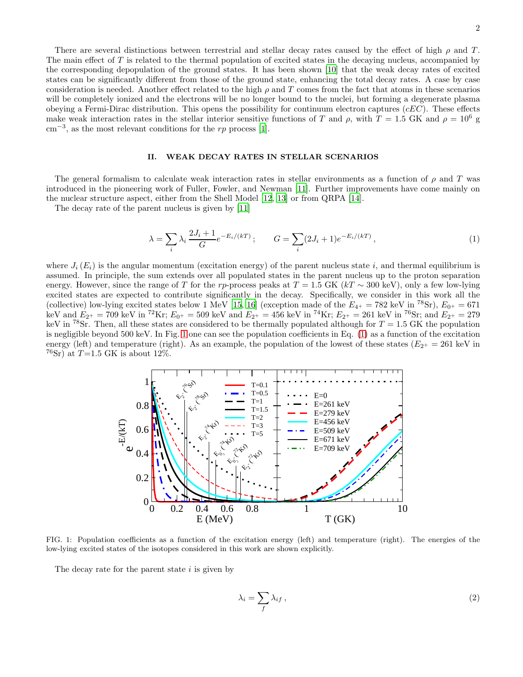There are several distinctions between terrestrial and stellar decay rates caused by the effect of high  $\rho$  and T. The main effect of T is related to the thermal population of excited states in the decaying nucleus, accompanied by the corresponding depopulation of the ground states. It has been shown [\[10\]](#page-6-9) that the weak decay rates of excited states can be significantly different from those of the ground state, enhancing the total decay rates. A case by case consideration is needed. Another effect related to the high  $\rho$  and T comes from the fact that atoms in these scenarios will be completely ionized and the electrons will be no longer bound to the nuclei, but forming a degenerate plasma obeying a Fermi-Dirac distribution. This opens the possibility for continuum electron captures  $(eEC)$ . These effects make weak interaction rates in the stellar interior sensitive functions of T and  $\rho$ , with  $T = 1.5$  GK and  $\rho = 10^6$  g  $\text{cm}^{-3}$ , as the most relevant conditions for the rp process [\[1\]](#page-6-0).

### II. WEAK DECAY RATES IN STELLAR SCENARIOS

The general formalism to calculate weak interaction rates in stellar environments as a function of  $\rho$  and T was introduced in the pioneering work of Fuller, Fowler, and Newman [\[11](#page-6-10)]. Further improvements have come mainly on the nuclear structure aspect, either from the Shell Model [\[12,](#page-6-11) [13\]](#page-6-12) or from QRPA [\[14\]](#page-6-13).

The decay rate of the parent nucleus is given by [\[11](#page-6-10)]

<span id="page-1-1"></span>
$$
\lambda = \sum_{i} \lambda_i \frac{2J_i + 1}{G} e^{-E_i/(kT)}; \qquad G = \sum_{i} (2J_i + 1)e^{-E_i/(kT)}, \qquad (1)
$$

where  $J_i(E_i)$  is the angular momentum (excitation energy) of the parent nucleus state i, and thermal equilibrium is assumed. In principle, the sum extends over all populated states in the parent nucleus up to the proton separation energy. However, since the range of T for the rp-process peaks at  $T = 1.5$  GK (kT  $\sim 300$  keV), only a few low-lying excited states are expected to contribute significantly in the decay. Specifically, we consider in this work all the (collective) low-lying excited states below 1 MeV [\[15,](#page-6-14) [16\]](#page-6-15) (exception made of the  $E_{4+} = 782 \text{ keV in }^{78}\text{Sr}$ ),  $E_{0+} = 671$ keV and  $E_{2^+} = 709$  keV in <sup>72</sup>Kr;  $E_{0^+} = 509$  keV and  $E_{2^+} = 456$  keV in <sup>74</sup>Kr;  $E_{2^+} = 261$  keV in <sup>76</sup>Sr; and  $E_{2^+} = 279$ keV in <sup>78</sup>Sr. Then, all these states are considered to be thermally populated although for  $T = 1.5$  GK the population is negligible beyond 500 keV. In Fig. [1](#page-1-0) one can see the population coefficients in Eq. [\(1\)](#page-1-1) as a function of the excitation energy (left) and temperature (right). As an example, the population of the lowest of these states ( $E_{2+} = 261 \text{ keV}$  in  $76Sr$ ) at  $T=1.5$  GK is about 12%.



FIG. 1: Population coefficients as a function of the excitation energy (left) and temperature (right). The energies of the low-lying excited states of the isotopes considered in this work are shown explicitly.

<span id="page-1-0"></span>The decay rate for the parent state  $i$  is given by

$$
\lambda_i = \sum_f \lambda_{if} \,, \tag{2}
$$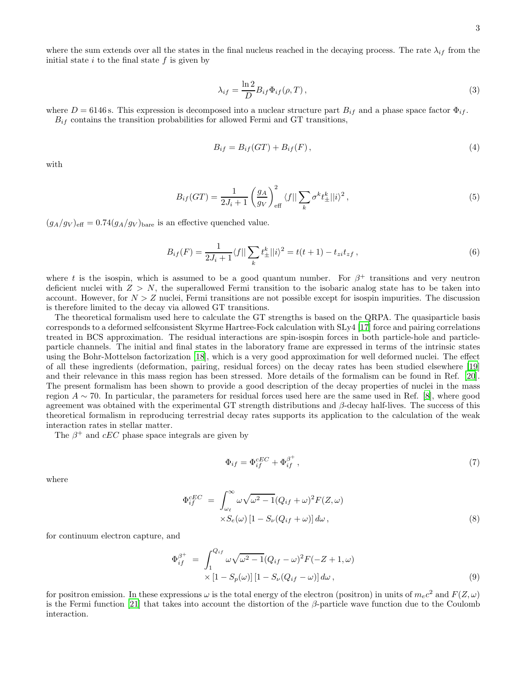where the sum extends over all the states in the final nucleus reached in the decaying process. The rate  $\lambda_{if}$  from the initial state  $i$  to the final state  $f$  is given by

$$
\lambda_{if} = \frac{\ln 2}{D} B_{if} \Phi_{if}(\rho, T), \qquad (3)
$$

where  $D = 6146$  s. This expression is decomposed into a nuclear structure part  $B_{if}$  and a phase space factor  $\Phi_{if}$ .  $B_{if}$  contains the transition probabilities for allowed Fermi and GT transitions,

$$
B_{if} = B_{if}(GT) + B_{if}(F), \qquad (4)
$$

with

$$
B_{if}(GT) = \frac{1}{2J_i + 1} \left(\frac{g_A}{g_V}\right)_{\text{eff}}^2 \langle f \vert \vert \sum_k \sigma^k t_{\pm}^k \vert \vert i \rangle^2 ,\tag{5}
$$

 $(g_A/g_V)_{\text{eff}} = 0.74(g_A/g_V)_{\text{bare}}$  is an effective quenched value.

$$
B_{if}(F) = \frac{1}{2J_i + 1} \langle f || \sum_k t_{\pm}^k || i \rangle^2 = t(t+1) - t_{zi} t_{zf}, \qquad (6)
$$

where t is the isospin, which is assumed to be a good quantum number. For  $\beta^+$  transitions and very neutron deficient nuclei with  $Z > N$ , the superallowed Fermi transition to the isobaric analog state has to be taken into account. However, for  $N > Z$  nuclei, Fermi transitions are not possible except for isospin impurities. The discussion is therefore limited to the decay via allowed GT transitions.

The theoretical formalism used here to calculate the GT strengths is based on the QRPA. The quasiparticle basis corresponds to a deformed selfconsistent Skyrme Hartree-Fock calculation with SLy4 [\[17\]](#page-6-16) force and pairing correlations treated in BCS approximation. The residual interactions are spin-isospin forces in both particle-hole and particleparticle channels. The initial and final states in the laboratory frame are expressed in terms of the intrinsic states using the Bohr-Mottelson factorization [\[18](#page-6-17)], which is a very good approximation for well deformed nuclei. The effect of all these ingredients (deformation, pairing, residual forces) on the decay rates has been studied elsewhere [\[19](#page-6-18)] and their relevance in this mass region has been stressed. More details of the formalism can be found in Ref. [\[20\]](#page-6-19). The present formalism has been shown to provide a good description of the decay properties of nuclei in the mass region  $A \sim 70$ . In particular, the parameters for residual forces used here are the same used in Ref. [\[8](#page-6-7)], where good agreement was obtained with the experimental GT strength distributions and  $\beta$ -decay half-lives. The success of this theoretical formalism in reproducing terrestrial decay rates supports its application to the calculation of the weak interaction rates in stellar matter.

The  $\beta^+$  and  $cEC$  phase space integrals are given by

$$
\Phi_{if} = \Phi_{if}^{cEC} + \Phi_{if}^{\beta^+} \,,\tag{7}
$$

where

$$
\Phi_{if}^{cEC} = \int_{\omega_{\ell}}^{\infty} \omega \sqrt{\omega^2 - 1} (Q_{if} + \omega)^2 F(Z, \omega)
$$
  
 
$$
\times S_e(\omega) [1 - S_{\nu}(Q_{if} + \omega)] d\omega,
$$
 (8)

for continuum electron capture, and

<span id="page-2-0"></span>
$$
\Phi_{if}^{\beta^+} = \int_1^{Q_{if}} \omega \sqrt{\omega^2 - 1} (Q_{if} - \omega)^2 F(-Z + 1, \omega)
$$
  
 
$$
\times [1 - S_p(\omega)] [1 - S_\nu(Q_{if} - \omega)] d\omega , \qquad (9)
$$

for positron emission. In these expressions  $\omega$  is the total energy of the electron (positron) in units of  $m_ec^2$  and  $F(Z,\omega)$ is the Fermi function [\[21](#page-6-20)] that takes into account the distortion of the β-particle wave function due to the Coulomb interaction.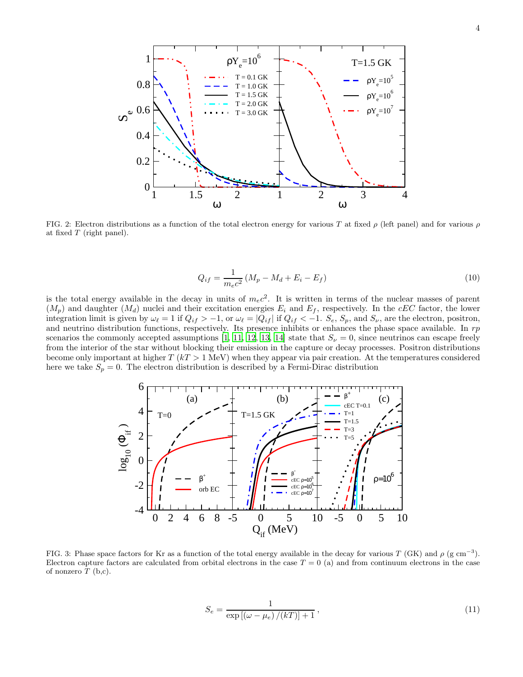

<span id="page-3-0"></span>FIG. 2: Electron distributions as a function of the total electron energy for various T at fixed  $\rho$  (left panel) and for various  $\rho$ at fixed  $T$  (right panel).

$$
Q_{if} = \frac{1}{m_e c^2} (M_p - M_d + E_i - E_f)
$$
\n(10)

is the total energy available in the decay in units of  $m_ec^2$ . It is written in terms of the nuclear masses of parent  $(M_p)$  and daughter  $(M_d)$  nuclei and their excitation energies  $E_i$  and  $E_f$ , respectively. In the cEC factor, the lower integration limit is given by  $\omega_{\ell} = 1$  if  $Q_{if} > -1$ , or  $\omega_{\ell} = |Q_{if}|$  if  $Q_{if} < -1$ .  $S_e$ ,  $S_p$ , and  $S_{\nu}$ , are the electron, positron, and neutrino distribution functions, respectively. Its presence inhibits or enhances the phase space available. In  $rp$ scenarios the commonly accepted assumptions [\[1](#page-6-0), [11](#page-6-10), [12,](#page-6-11) [13,](#page-6-12) [14\]](#page-6-13) state that  $S_{\nu} = 0$ , since neutrinos can escape freely from the interior of the star without blocking their emission in the capture or decay processes. Positron distributions become only important at higher  $T (kT > 1 \text{ MeV})$  when they appear via pair creation. At the temperatures considered here we take  $S_p = 0$ . The electron distribution is described by a Fermi-Dirac distribution



<span id="page-3-1"></span>FIG. 3: Phase space factors for Kr as a function of the total energy available in the decay for various T (GK) and  $\rho$  (g cm<sup>-3</sup>). Electron capture factors are calculated from orbital electrons in the case  $T = 0$  (a) and from continuum electrons in the case of nonzero  $T$  (b,c).

$$
S_e = \frac{1}{\exp\left[ (\omega - \mu_e) / (kT) \right] + 1},\tag{11}
$$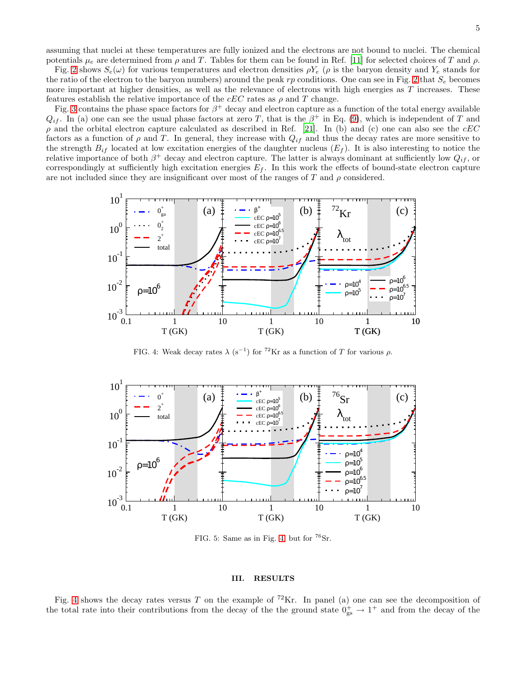assuming that nuclei at these temperatures are fully ionized and the electrons are not bound to nuclei. The chemical potentials  $\mu_e$  are determined from  $\rho$  and T. Tables for them can be found in Ref. [\[11\]](#page-6-10) for selected choices of T and  $\rho$ .

Fig. [2](#page-3-0) shows  $S_e(\omega)$  for various temperatures and electron densities  $\rho Y_e$  ( $\rho$  is the baryon density and  $Y_e$  stands for the ratio of the electron to the baryon numbers) around the peak rp conditions. One can see in Fig. [2](#page-3-0) that  $S_e$  becomes more important at higher densities, as well as the relevance of electrons with high energies as  $T$  increases. These features establish the relative importance of the  $cEC$  rates as  $\rho$  and T change.

Fig. [3](#page-3-1) contains the phase space factors for  $\beta^+$  decay and electron capture as a function of the total energy available  $Q_{if}$ . In (a) one can see the usual phase factors at zero T, that is the  $\beta^+$  in Eq. [\(9\)](#page-2-0), which is independent of T and  $\rho$  and the orbital electron capture calculated as described in Ref. [\[21\]](#page-6-20). In (b) and (c) one can also see the  $cEC$ factors as a function of  $\rho$  and T. In general, they increase with  $Q_{if}$  and thus the decay rates are more sensitive to the strength  $B_{if}$  located at low excitation energies of the daughter nucleus  $(E_f)$ . It is also interesting to notice the relative importance of both  $\beta^+$  decay and electron capture. The latter is always dominant at sufficiently low  $Q_{if}$ , or correspondingly at sufficiently high excitation energies  $E_f$ . In this work the effects of bound-state electron capture are not included since they are insignificant over most of the ranges of T and  $\rho$  considered.



<span id="page-4-0"></span>FIG. 4: Weak decay rates  $\lambda$  (s<sup>-1</sup>) for <sup>72</sup>Kr as a function of T for various  $\rho$ .



<span id="page-4-1"></span>FIG. 5: Same as in Fig. [4,](#page-4-0) but for  ${}^{76}Sr$ .

## III. RESULTS

Fig. [4](#page-4-0) shows the decay rates versus T on the example of <sup>72</sup>Kr. In panel (a) one can see the decomposition of the total rate into their contributions from the decay of the the ground state  $0^+_{gs} \to 1^+$  and from the decay of the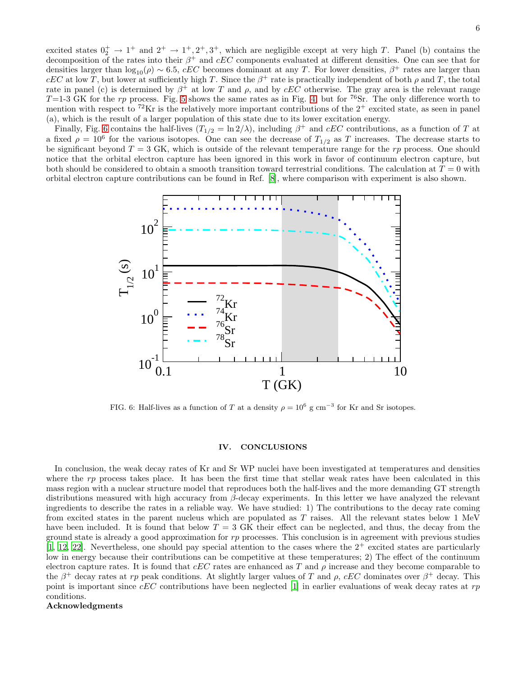excited states  $0^+_2 \rightarrow 1^+$  and  $2^+ \rightarrow 1^+, 2^+, 3^+,$  which are negligible except at very high T. Panel (b) contains the decomposition of the rates into their  $\beta^+$  and  $cEC$  components evaluated at different densities. One can see that for densities larger than  $log_{10}(\rho) \sim 6.5$ , cEC becomes dominant at any T. For lower densities,  $\beta^+$  rates are larger than cEC at low T, but lower at sufficiently high T. Since the  $\beta^+$  rate is practically independent of both  $\rho$  and T, the total rate in panel (c) is determined by  $\beta^+$  at low T and  $\rho$ , and by  $cEC$  otherwise. The gray area is the relevant range T=1-3 GK for the rp process. Fig. [5](#page-4-1) shows the same rates as in Fig. [4,](#page-4-0) but for <sup>76</sup>Sr. The only difference worth to mention with respect to  ${}^{72}\text{Kr}$  is the relatively more important contributions of the  $2^+$  excited state, as seen in panel (a), which is the result of a larger population of this state due to its lower excitation energy.

Finally, Fig. [6](#page-5-0) contains the half-lives  $(T_{1/2} = \ln 2/\lambda)$ , including  $\beta^+$  and  $cEC$  contributions, as a function of T at a fixed  $\rho = 10^6$  for the various isotopes. One can see the decrease of  $T_{1/2}$  as T increases. The decrease starts to be significant beyond  $T = 3$  GK, which is outside of the relevant temperature range for the rp process. One should notice that the orbital electron capture has been ignored in this work in favor of continuum electron capture, but both should be considered to obtain a smooth transition toward terrestrial conditions. The calculation at  $T = 0$  with orbital electron capture contributions can be found in Ref. [\[8\]](#page-6-7), where comparison with experiment is also shown.



<span id="page-5-0"></span>FIG. 6: Half-lives as a function of T at a density  $\rho = 10^6$  g cm<sup>-3</sup> for Kr and Sr isotopes.

# IV. CONCLUSIONS

In conclusion, the weak decay rates of Kr and Sr WP nuclei have been investigated at temperatures and densities where the  $rp$  process takes place. It has been the first time that stellar weak rates have been calculated in this mass region with a nuclear structure model that reproduces both the half-lives and the more demanding GT strength distributions measured with high accuracy from β-decay experiments. In this letter we have analyzed the relevant ingredients to describe the rates in a reliable way. We have studied: 1) The contributions to the decay rate coming from excited states in the parent nucleus which are populated as  $T$  raises. All the relevant states below 1 MeV have been included. It is found that below  $T = 3$  GK their effect can be neglected, and thus, the decay from the ground state is already a good approximation for  $rp$  processes. This conclusion is in agreement with previous studies [\[1,](#page-6-0) [12](#page-6-11), [22\]](#page-6-21). Nevertheless, one should pay special attention to the cases where the  $2^+$  excited states are particularly low in energy because their contributions can be competitive at these temperatures; 2) The effect of the continuum electron capture rates. It is found that  $cEC$  rates are enhanced as T and  $\rho$  increase and they become comparable to the  $\beta^+$  decay rates at rp peak conditions. At slightly larger values of T and  $\rho$ , cEC dominates over  $\beta^+$  decay. This point is important since  $cEC$  contributions have been neglected [\[1\]](#page-6-0) in earlier evaluations of weak decay rates at rp conditions.

# Acknowledgments